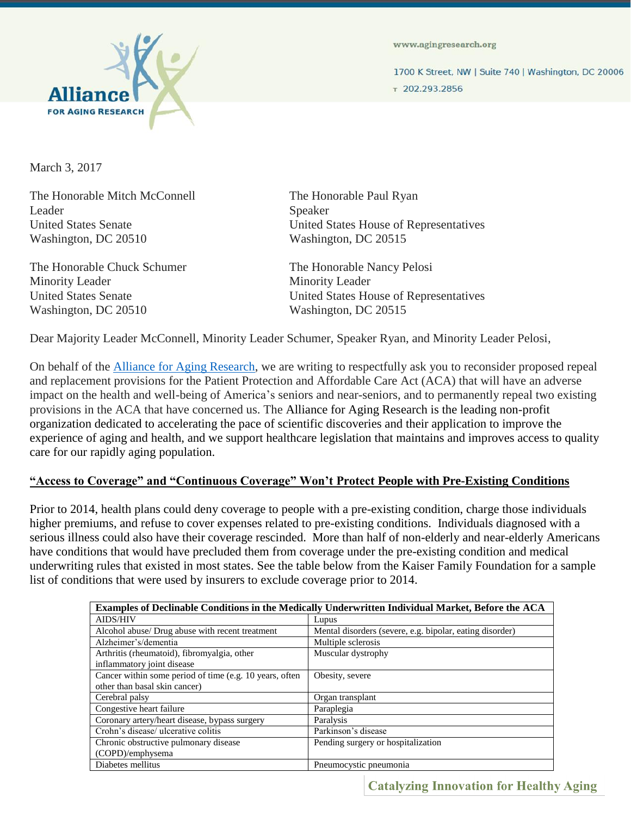

www.agingresearch.org

1700 K Street, NW | Suite 740 | Washington, DC 20006

7202.293.2856

March 3, 2017

The Honorable Mitch McConnell The Honorable Paul Ryan Leader Speaker Washington, DC 20510 Washington, DC 20515

The Honorable Chuck Schumer The Honorable Nancy Pelosi Minority Leader Minority Leader Washington, DC 20510

United States Senate United States House of Representatives

United States Senate<br>
United States House of Representatives<br>
Washington, DC 20515

Dear Majority Leader McConnell, Minority Leader Schumer, Speaker Ryan, and Minority Leader Pelosi,

On behalf of the **Alliance for Aging Research**, we are writing to respectfully ask you to reconsider proposed repeal and replacement provisions for the Patient Protection and Affordable Care Act (ACA) that will have an adverse impact on the health and well-being of America's seniors and near-seniors, and to permanently repeal two existing provisions in the ACA that have concerned us. The Alliance for Aging Research is the leading non-profit organization dedicated to accelerating the pace of scientific discoveries and their application to improve the experience of aging and health, and we support healthcare legislation that maintains and improves access to quality care for our rapidly aging population.

### **"Access to Coverage" and "Continuous Coverage" Won't Protect People with Pre-Existing Conditions**

Prior to 2014, health plans could deny coverage to people with a pre-existing condition, charge those individuals higher premiums, and refuse to cover expenses related to pre-existing conditions. Individuals diagnosed with a serious illness could also have their coverage rescinded. More than half of non-elderly and near-elderly Americans have conditions that would have precluded them from coverage under the pre-existing condition and medical underwriting rules that existed in most states. See the table below from the Kaiser Family Foundation for a sample list of conditions that were used by insurers to exclude coverage prior to 2014.

| Examples of Declinable Conditions in the Medically Underwritten Individual Market, Before the ACA |                                                          |
|---------------------------------------------------------------------------------------------------|----------------------------------------------------------|
| <b>AIDS/HIV</b>                                                                                   | Lupus                                                    |
| Alcohol abuse/ Drug abuse with recent treatment                                                   | Mental disorders (severe, e.g. bipolar, eating disorder) |
| Alzheimer's/dementia                                                                              | Multiple sclerosis                                       |
| Arthritis (rheumatoid), fibromyalgia, other                                                       | Muscular dystrophy                                       |
| inflammatory joint disease                                                                        |                                                          |
| Cancer within some period of time (e.g. 10 years, often                                           | Obesity, severe                                          |
| other than basal skin cancer)                                                                     |                                                          |
| Cerebral palsy                                                                                    | Organ transplant                                         |
| Congestive heart failure                                                                          | Paraplegia                                               |
| Coronary artery/heart disease, bypass surgery                                                     | Paralysis                                                |
| Crohn's disease/ ulcerative colitis                                                               | Parkinson's disease                                      |
| Chronic obstructive pulmonary disease                                                             | Pending surgery or hospitalization                       |
| (COPD)/emphysema                                                                                  |                                                          |
| Diabetes mellitus                                                                                 | Pneumocystic pneumonia                                   |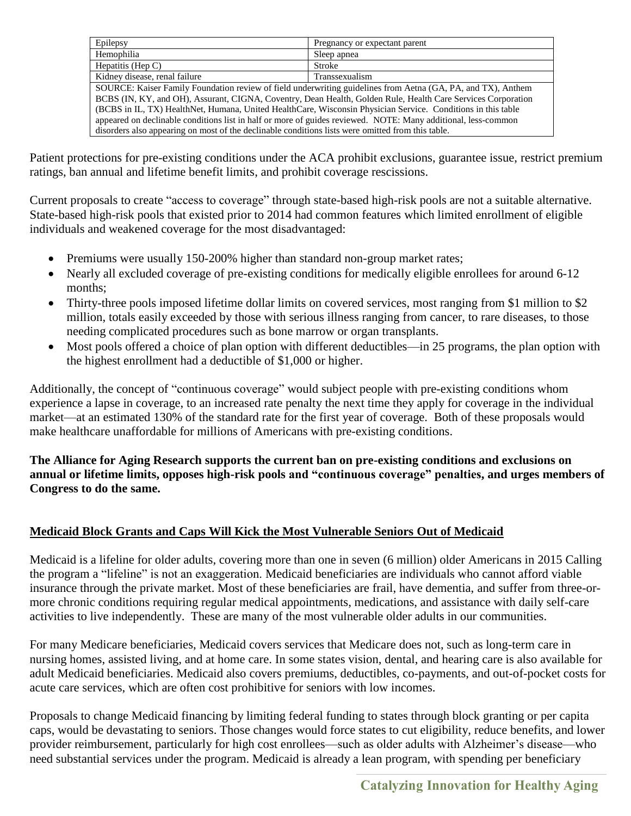| Epilepsy                                                                                                      | Pregnancy or expectant parent |
|---------------------------------------------------------------------------------------------------------------|-------------------------------|
| Hemophilia                                                                                                    | Sleep apnea                   |
| Hepatitis (Hep $C$ )                                                                                          | Stroke                        |
| Kidney disease, renal failure                                                                                 | Transsexualism                |
| SOURCE: Kaiser Family Foundation review of field underwriting guidelines from Aetna (GA, PA, and TX), Anthem  |                               |
| BCBS (IN, KY, and OH), Assurant, CIGNA, Coventry, Dean Health, Golden Rule, Health Care Services Corporation  |                               |
| (BCBS in IL, TX) HealthNet, Humana, United HealthCare, Wisconsin Physician Service. Conditions in this table  |                               |
| appeared on declinable conditions list in half or more of guides reviewed. NOTE: Many additional, less-common |                               |
| disorders also appearing on most of the declinable conditions lists were omitted from this table.             |                               |

Patient protections for pre-existing conditions under the ACA prohibit exclusions, guarantee issue, restrict premium ratings, ban annual and lifetime benefit limits, and prohibit coverage rescissions.

Current proposals to create "access to coverage" through state-based high-risk pools are not a suitable alternative. State-based high-risk pools that existed prior to 2014 had common features which limited enrollment of eligible individuals and weakened coverage for the most disadvantaged:

- Premiums were usually 150-200% higher than standard non-group market rates;
- Nearly all excluded coverage of pre-existing conditions for medically eligible enrollees for around 6-12 months;
- Thirty-three pools imposed lifetime dollar limits on covered services, most ranging from \$1 million to \$2 million, totals easily exceeded by those with serious illness ranging from cancer, to rare diseases, to those needing complicated procedures such as bone marrow or organ transplants.
- Most pools offered a choice of plan option with different deductibles—in 25 programs, the plan option with the highest enrollment had a deductible of \$1,000 or higher.

Additionally, the concept of "continuous coverage" would subject people with pre-existing conditions whom experience a lapse in coverage, to an increased rate penalty the next time they apply for coverage in the individual market—at an estimated 130% of the standard rate for the first year of coverage. Both of these proposals would make healthcare unaffordable for millions of Americans with pre-existing conditions.

**The Alliance for Aging Research supports the current ban on pre-existing conditions and exclusions on annual or lifetime limits, opposes high-risk pools and "continuous coverage" penalties, and urges members of Congress to do the same.** 

# **Medicaid Block Grants and Caps Will Kick the Most Vulnerable Seniors Out of Medicaid**

Medicaid is a lifeline for older adults, covering more than one in seven (6 million) older Americans in 2015 Calling the program a "lifeline" is not an exaggeration. Medicaid beneficiaries are individuals who cannot afford viable insurance through the private market. Most of these beneficiaries are frail, have dementia, and suffer from three-ormore chronic conditions requiring regular medical appointments, medications, and assistance with daily self-care activities to live independently. These are many of the most vulnerable older adults in our communities.

For many Medicare beneficiaries, Medicaid covers services that Medicare does not, such as long-term care in nursing homes, assisted living, and at home care. In some states vision, dental, and hearing care is also available for adult Medicaid beneficiaries. Medicaid also covers premiums, deductibles, co-payments, and out-of-pocket costs for acute care services, which are often cost prohibitive for seniors with low incomes.

Proposals to change Medicaid financing by limiting federal funding to states through block granting or per capita caps, would be devastating to seniors. Those changes would force states to cut eligibility, reduce benefits, and lower provider reimbursement, particularly for high cost enrollees—such as older adults with Alzheimer's disease—who need substantial services under the program. Medicaid is already a lean program, with spending per beneficiary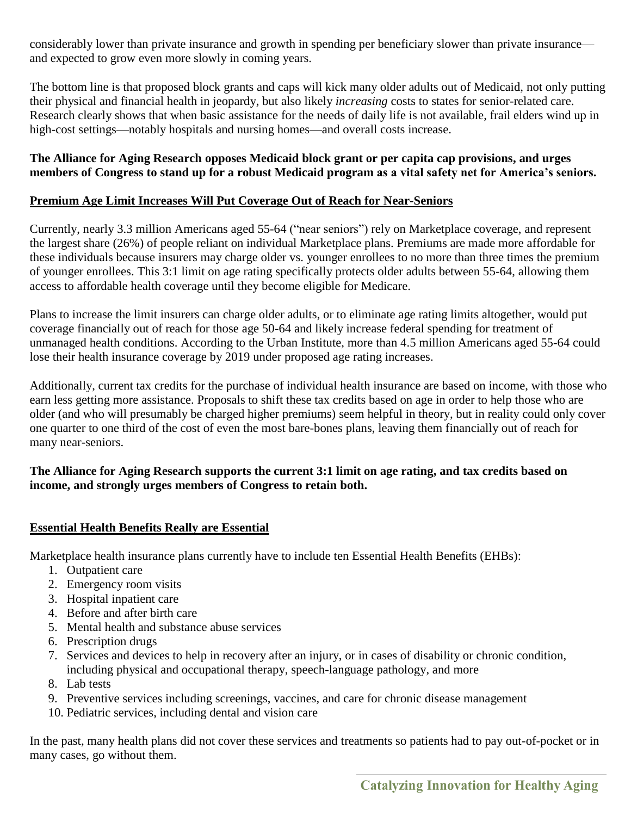considerably lower than private insurance and growth in spending per beneficiary slower than private insurance and expected to grow even more slowly in coming years.

The bottom line is that proposed block grants and caps will kick many older adults out of Medicaid, not only putting their physical and financial health in jeopardy, but also likely *increasing* costs to states for senior-related care. Research clearly shows that when basic assistance for the needs of daily life is not available, frail elders wind up in high-cost settings—notably hospitals and nursing homes—and overall costs increase.

#### **The Alliance for Aging Research opposes Medicaid block grant or per capita cap provisions, and urges members of Congress to stand up for a robust Medicaid program as a vital safety net for America's seniors.**

## **Premium Age Limit Increases Will Put Coverage Out of Reach for Near-Seniors**

Currently, nearly 3.3 million Americans aged 55-64 ("near seniors") rely on Marketplace coverage, and represent the largest share (26%) of people reliant on individual Marketplace plans. Premiums are made more affordable for these individuals because insurers may charge older vs. younger enrollees to no more than three times the premium of younger enrollees. This 3:1 limit on age rating specifically protects older adults between 55-64, allowing them access to affordable health coverage until they become eligible for Medicare.

Plans to increase the limit insurers can charge older adults, or to eliminate age rating limits altogether, would put coverage financially out of reach for those age 50-64 and likely increase federal spending for treatment of unmanaged health conditions. According to the Urban Institute, more than 4.5 million Americans aged 55-64 could lose their health insurance coverage by 2019 under proposed age rating increases.

Additionally, current tax credits for the purchase of individual health insurance are based on income, with those who earn less getting more assistance. Proposals to shift these tax credits based on age in order to help those who are older (and who will presumably be charged higher premiums) seem helpful in theory, but in reality could only cover one quarter to one third of the cost of even the most bare-bones plans, leaving them financially out of reach for many near-seniors.

## **The Alliance for Aging Research supports the current 3:1 limit on age rating, and tax credits based on income, and strongly urges members of Congress to retain both.**

# **Essential Health Benefits Really are Essential**

Marketplace health insurance plans currently have to include ten Essential Health Benefits (EHBs):

- 1. Outpatient care
- 2. Emergency room visits
- 3. Hospital inpatient care
- 4. Before and after birth care
- 5. Mental health and substance abuse services
- 6. Prescription drugs
- 7. Services and devices to help in recovery after an injury, or in cases of disability or chronic condition, including physical and occupational therapy, speech-language pathology, and more
- 8. Lab tests
- 9. Preventive services including screenings, vaccines, and care for chronic disease management
- 10. Pediatric services, including dental and vision care

In the past, many health plans did not cover these services and treatments so patients had to pay out-of-pocket or in many cases, go without them.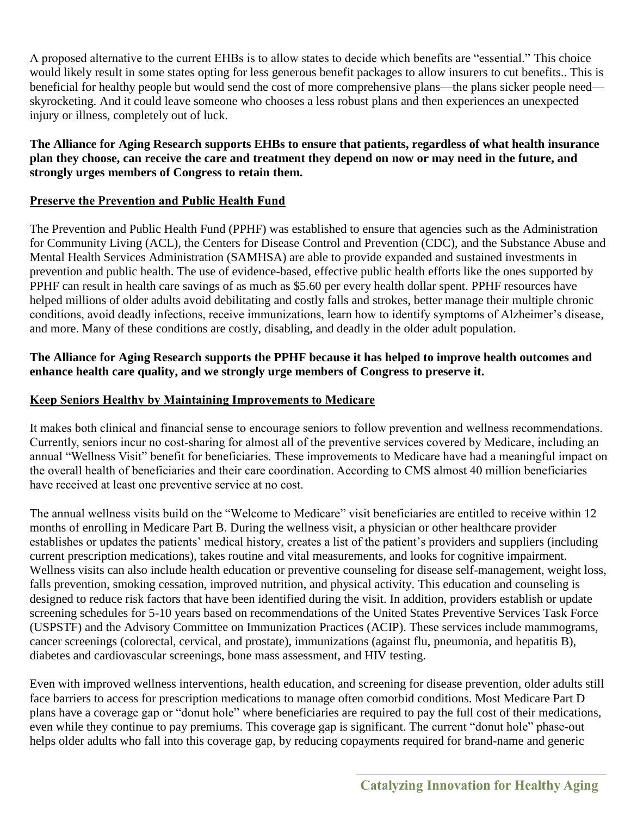A proposed alternative to the current EHBs is to allow states to decide which benefits are "essential." This choice would likely result in some states opting for less generous benefit packages to allow insurers to cut benefits.. This is beneficial for healthy people but would send the cost of more comprehensive plans—the plans sicker people need skyrocketing. And it could leave someone who chooses a less robust plans and then experiences an unexpected injury or illness, completely out of luck.

#### **The Alliance for Aging Research supports EHBs to ensure that patients, regardless of what health insurance plan they choose, can receive the care and treatment they depend on now or may need in the future, and strongly urges members of Congress to retain them.**

### **Preserve the Prevention and Public Health Fund**

The Prevention and Public Health Fund (PPHF) was established to ensure that agencies such as the Administration for Community Living (ACL), the Centers for Disease Control and Prevention (CDC), and the Substance Abuse and Mental Health Services Administration (SAMHSA) are able to provide expanded and sustained investments in prevention and public health. The use of evidence-based, effective public health efforts like the ones supported by PPHF can result in health care savings of as much as \$5.60 per every health dollar spent. PPHF resources have helped millions of older adults avoid debilitating and costly falls and strokes, better manage their multiple chronic conditions, avoid deadly infections, receive immunizations, learn how to identify symptoms of Alzheimer's disease, and more. Many of these conditions are costly, disabling, and deadly in the older adult population.

### **The Alliance for Aging Research supports the PPHF because it has helped to improve health outcomes and enhance health care quality, and we strongly urge members of Congress to preserve it.**

### **Keep Seniors Healthy by Maintaining Improvements to Medicare**

It makes both clinical and financial sense to encourage seniors to follow prevention and wellness recommendations. Currently, seniors incur no cost-sharing for almost all of the preventive services covered by Medicare, including an annual "Wellness Visit" benefit for beneficiaries. These improvements to Medicare have had a meaningful impact on the overall health of beneficiaries and their care coordination. According to CMS almost 40 million beneficiaries have received at least one preventive service at no cost.

The annual wellness visits build on the "Welcome to Medicare" visit beneficiaries are entitled to receive within 12 months of enrolling in Medicare Part B. During the wellness visit, a physician or other healthcare provider establishes or updates the patients' medical history, creates a list of the patient's providers and suppliers (including current prescription medications), takes routine and vital measurements, and looks for cognitive impairment. Wellness visits can also include health education or preventive counseling for disease self-management, weight loss, falls prevention, smoking cessation, improved nutrition, and physical activity. This education and counseling is designed to reduce risk factors that have been identified during the visit. In addition, providers establish or update screening schedules for 5-10 years based on recommendations of the United States Preventive Services Task Force (USPSTF) and the Advisory Committee on Immunization Practices (ACIP). These services include mammograms, cancer screenings (colorectal, cervical, and prostate), immunizations (against flu, pneumonia, and hepatitis B), diabetes and cardiovascular screenings, bone mass assessment, and HIV testing.

Even with improved wellness interventions, health education, and screening for disease prevention, older adults still face barriers to access for prescription medications to manage often comorbid conditions. Most Medicare Part D plans have a coverage gap or "donut hole" where beneficiaries are required to pay the full cost of their medications, even while they continue to pay premiums. This coverage gap is significant. The current "donut hole" phase-out helps older adults who fall into this coverage gap, by reducing copayments required for brand-name and generic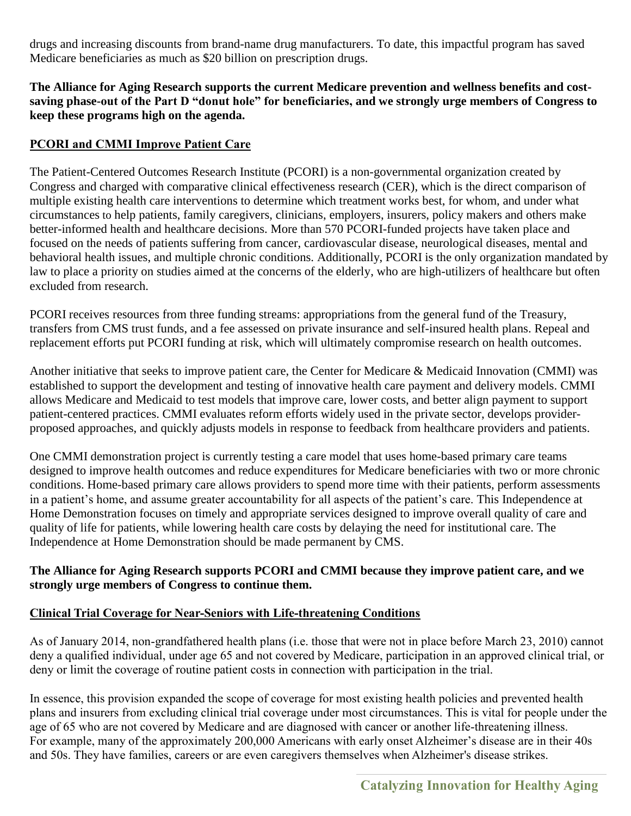drugs and increasing discounts from brand-name drug manufacturers. To date, this impactful program has saved Medicare beneficiaries as much as \$20 billion on prescription drugs.

### **The Alliance for Aging Research supports the current Medicare prevention and wellness benefits and costsaving phase-out of the Part D "donut hole" for beneficiaries, and we strongly urge members of Congress to keep these programs high on the agenda.**

# **PCORI and CMMI Improve Patient Care**

The Patient-Centered Outcomes Research Institute (PCORI) is a non-governmental organization created by Congress and charged with comparative clinical effectiveness research (CER), which is the direct comparison of multiple existing health care interventions to determine which treatment works best, for whom, and under what circumstances to help patients, family caregivers, clinicians, employers, insurers, policy makers and others make better-informed health and healthcare decisions. More than 570 PCORI-funded projects have taken place and focused on the needs of patients suffering from cancer, cardiovascular disease, neurological diseases, mental and behavioral health issues, and multiple chronic conditions. Additionally, PCORI is the only organization mandated by law to place a priority on studies aimed at the concerns of the elderly, who are high-utilizers of healthcare but often excluded from research.

PCORI receives resources from three funding streams: appropriations from the general fund of the Treasury, transfers from CMS trust funds, and a fee assessed on private insurance and self-insured health plans. Repeal and replacement efforts put PCORI funding at risk, which will ultimately compromise research on health outcomes.

Another initiative that seeks to improve patient care, the Center for Medicare & Medicaid Innovation (CMMI) was established to support the development and testing of innovative health care payment and delivery models. CMMI allows Medicare and Medicaid to test models that improve care, lower costs, and better align payment to support patient-centered practices. CMMI evaluates reform efforts widely used in the private sector, develops providerproposed approaches, and quickly adjusts models in response to feedback from healthcare providers and patients.

One CMMI demonstration project is currently testing a care model that uses home-based primary care teams designed to improve health outcomes and reduce expenditures for Medicare beneficiaries with two or more chronic conditions. Home-based primary care allows providers to spend more time with their patients, perform assessments in a patient's home, and assume greater accountability for all aspects of the patient's care. This Independence at Home Demonstration focuses on timely and appropriate services designed to improve overall quality of care and quality of life for patients, while lowering health care costs by delaying the need for institutional care. The Independence at Home Demonstration should be made permanent by CMS.

### **The Alliance for Aging Research supports PCORI and CMMI because they improve patient care, and we strongly urge members of Congress to continue them.**

# **Clinical Trial Coverage for Near-Seniors with Life-threatening Conditions**

As of January 2014, non-grandfathered health plans (i.e. those that were not in place before March 23, 2010) cannot deny a qualified individual, under age 65 and not covered by Medicare, participation in an approved clinical trial, or deny or limit the coverage of routine patient costs in connection with participation in the trial.

In essence, this provision expanded the scope of coverage for most existing health policies and prevented health plans and insurers from excluding clinical trial coverage under most circumstances. This is vital for people under the age of 65 who are not covered by Medicare and are diagnosed with cancer or another life-threatening illness. For example, many of the approximately 200,000 Americans with early onset Alzheimer's disease are in their 40s and 50s. They have families, careers or are even caregivers themselves when Alzheimer's disease strikes.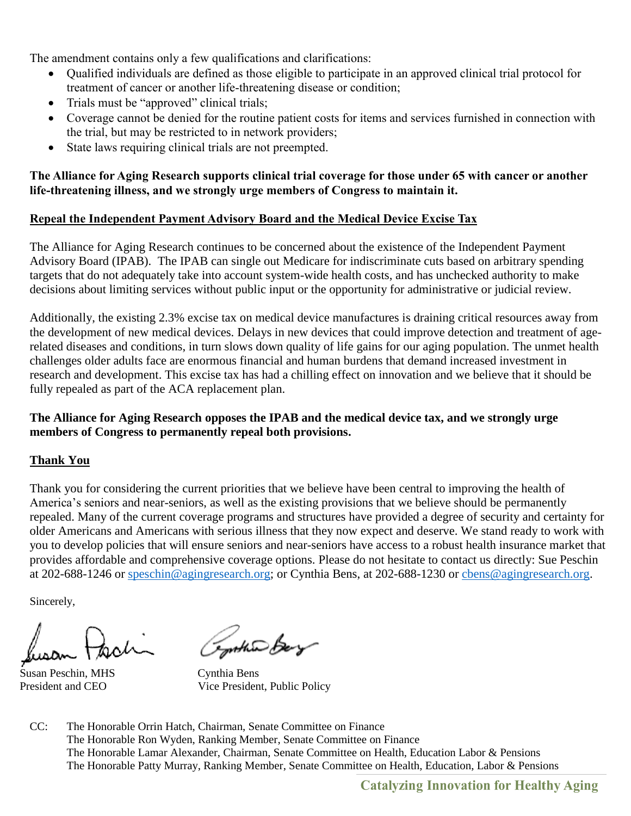The amendment contains only a few qualifications and clarifications:

- Qualified individuals are defined as those eligible to participate in an approved clinical trial protocol for treatment of cancer or another life-threatening disease or condition;
- Trials must be "approved" clinical trials;
- Coverage cannot be denied for the routine patient costs for items and services furnished in connection with the trial, but may be restricted to in network providers;
- State laws requiring clinical trials are not preempted.

### **The Alliance for Aging Research supports clinical trial coverage for those under 65 with cancer or another life-threatening illness, and we strongly urge members of Congress to maintain it.**

## **Repeal the Independent Payment Advisory Board and the Medical Device Excise Tax**

The Alliance for Aging Research continues to be concerned about the existence of the Independent Payment Advisory Board (IPAB). The IPAB can single out Medicare for indiscriminate cuts based on arbitrary spending targets that do not adequately take into account system-wide health costs, and has unchecked authority to make decisions about limiting services without public input or the opportunity for administrative or judicial review.

Additionally, the existing 2.3% excise tax on medical device manufactures is draining critical resources away from the development of new medical devices. Delays in new devices that could improve detection and treatment of agerelated diseases and conditions, in turn slows down quality of life gains for our aging population. The unmet health challenges older adults face are enormous financial and human burdens that demand increased investment in research and development. This excise tax has had a chilling effect on innovation and we believe that it should be fully repealed as part of the ACA replacement plan.

### **The Alliance for Aging Research opposes the IPAB and the medical device tax, and we strongly urge members of Congress to permanently repeal both provisions.**

# **Thank You**

Thank you for considering the current priorities that we believe have been central to improving the health of America's seniors and near-seniors, as well as the existing provisions that we believe should be permanently repealed. Many of the current coverage programs and structures have provided a degree of security and certainty for older Americans and Americans with serious illness that they now expect and deserve. We stand ready to work with you to develop policies that will ensure seniors and near-seniors have access to a robust health insurance market that provides affordable and comprehensive coverage options. Please do not hesitate to contact us directly: Sue Peschin at 202-688-1246 or [speschin@agingresearch.org;](mailto:speschin@agingresearch.org) or Cynthia Bens, at 202-688-1230 or [cbens@agingresearch.org.](mailto:cbens@agingresearch.org)

Sincerely,

Susan Peschin, MHS Cynthia Bens

Inthis Boy

President and CEO Vice President, Public Policy

CC: The Honorable Orrin Hatch, Chairman, Senate Committee on Finance The Honorable Ron Wyden, Ranking Member, Senate Committee on Finance The Honorable Lamar Alexander, Chairman, Senate Committee on Health, Education Labor & Pensions The Honorable Patty Murray, Ranking Member, Senate Committee on Health, Education, Labor & Pensions